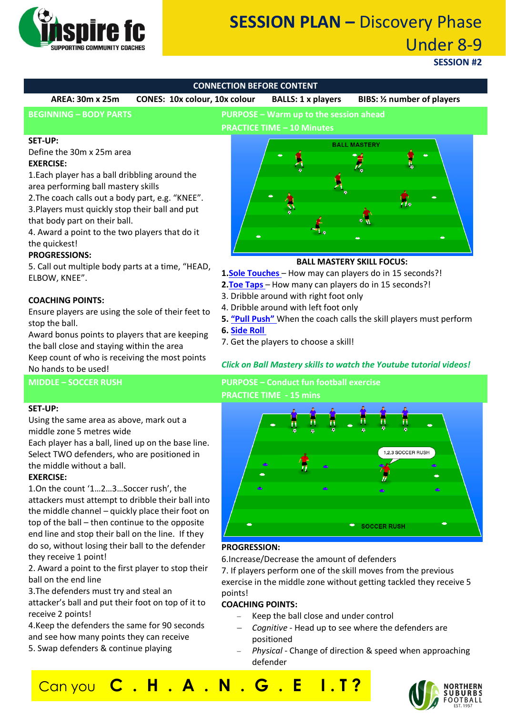

# **SESSION PLAN –** Discovery Phase Under 8-9

**SESSION #2**

| <b>CONNECTION BEFORE CONTENT</b>                                                                                                                                                                                                                                                                                                                                    |                                                                                                                                                                                                                                                                                                    |
|---------------------------------------------------------------------------------------------------------------------------------------------------------------------------------------------------------------------------------------------------------------------------------------------------------------------------------------------------------------------|----------------------------------------------------------------------------------------------------------------------------------------------------------------------------------------------------------------------------------------------------------------------------------------------------|
| <b>AREA: 30m x 25m</b><br>CONES: 10x colour, 10x colour                                                                                                                                                                                                                                                                                                             | <b>BALLS: 1 x players</b><br><b>BIBS:</b> 1/2 number of players                                                                                                                                                                                                                                    |
| <b>BEGINNING - BODY PARTS</b><br>PURPOSE - Warm up to the session ahead<br><b>PRACTICE TIME - 10 Minutes</b>                                                                                                                                                                                                                                                        |                                                                                                                                                                                                                                                                                                    |
| <b>SET-UP:</b><br>Define the 30m x 25m area<br><b>EXERCISE:</b><br>1. Each player has a ball dribbling around the<br>area performing ball mastery skills<br>2. The coach calls out a body part, e.g. "KNEE".<br>3. Players must quickly stop their ball and put<br>that body part on their ball.<br>4. Award a point to the two players that do it<br>the quickest! | <b>BALL MASTERY</b>                                                                                                                                                                                                                                                                                |
| <b>PROGRESSIONS:</b><br>5. Call out multiple body parts at a time, "HEAD,<br>ELBOW, KNEE".                                                                                                                                                                                                                                                                          | <b>BALL MASTERY SKILL FOCUS:</b><br>1. Sole Touches - How may can players do in 15 seconds?!<br>2. Toe Taps - How many can players do in 15 seconds?!                                                                                                                                              |
| <b>COACHING POINTS:</b><br>Ensure players are using the sole of their feet to<br>stop the ball.<br>Award bonus points to players that are keeping<br>the ball close and staying within the area<br>Keep count of who is receiving the most points<br>No hands to be used!                                                                                           | 3. Dribble around with right foot only<br>4. Dribble around with left foot only<br>5. "Pull Push" When the coach calls the skill players must perform<br><b>6. Side Roll</b><br>7. Get the players to choose a skill!<br><b>Click on Ball Mastery skills to watch the Youtube tutorial videos!</b> |
| <b>MIDDLE - SOCCER RUSH</b>                                                                                                                                                                                                                                                                                                                                         | <b>PURPOSE - Conduct fun football exercise</b><br><b>PRACTICE TIME - 15 mins</b>                                                                                                                                                                                                                   |

#### **SET-UP:**

Using the same area as above, mark out a middle zone 5 metres wide

Each player has a ball, lined up on the base line. Select TWO defenders, who are positioned in the middle without a ball. **EXERCISE:**

1.On the count '1…2…3…Soccer rush', the attackers must attempt to dribble their ball into the middle channel – quickly place their foot on top of the ball – then continue to the opposite end line and stop their ball on the line. If they do so, without losing their ball to the defender they receive 1 point!

2. Award a point to the first player to stop their ball on the end line

3.The defenders must try and steal an attacker's ball and put their foot on top of it to receive 2 points!

4.Keep the defenders the same for 90 seconds and see how many points they can receive 5. Swap defenders & continue playing

 $Can you$ 



# **PROGRESSION:**

6.Increase/Decrease the amount of defenders 7. If players perform one of the skill moves from the previous exercise in the middle zone without getting tackled they receive 5 points!

#### **COACHING POINTS:**

- Keep the ball close and under control
- − *Cognitive* Head up to see where the defenders are positioned
- − *Physical*  Change of direction & speed when approaching defender